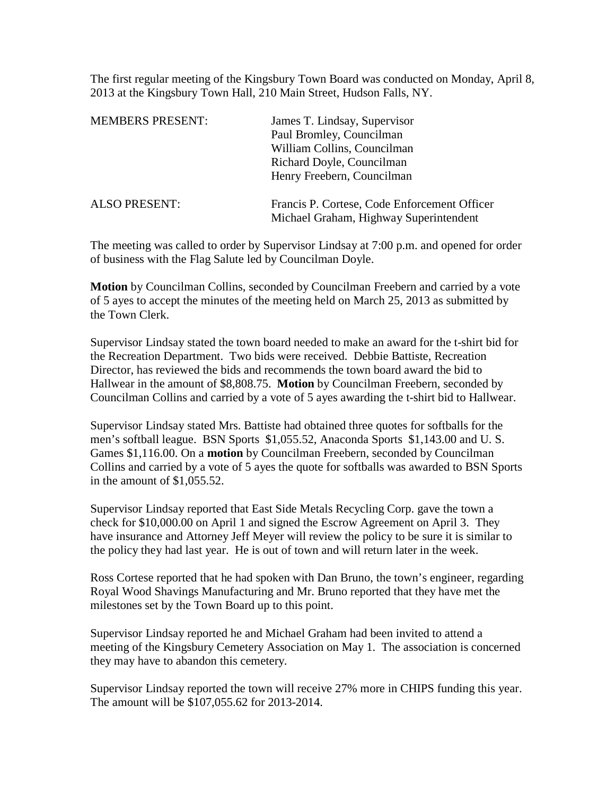The first regular meeting of the Kingsbury Town Board was conducted on Monday, April 8, 2013 at the Kingsbury Town Hall, 210 Main Street, Hudson Falls, NY.

| <b>MEMBERS PRESENT:</b> | James T. Lindsay, Supervisor                 |
|-------------------------|----------------------------------------------|
|                         | Paul Bromley, Councilman                     |
|                         | William Collins, Councilman                  |
|                         | Richard Doyle, Councilman                    |
|                         | Henry Freebern, Councilman                   |
| <b>ALSO PRESENT:</b>    | Francis P. Cortese, Code Enforcement Officer |
|                         | Michael Graham, Highway Superintendent       |

The meeting was called to order by Supervisor Lindsay at 7:00 p.m. and opened for order of business with the Flag Salute led by Councilman Doyle.

**Motion** by Councilman Collins, seconded by Councilman Freebern and carried by a vote of 5 ayes to accept the minutes of the meeting held on March 25, 2013 as submitted by the Town Clerk.

Supervisor Lindsay stated the town board needed to make an award for the t-shirt bid for the Recreation Department. Two bids were received. Debbie Battiste, Recreation Director, has reviewed the bids and recommends the town board award the bid to Hallwear in the amount of \$8,808.75. **Motion** by Councilman Freebern, seconded by Councilman Collins and carried by a vote of 5 ayes awarding the t-shirt bid to Hallwear.

Supervisor Lindsay stated Mrs. Battiste had obtained three quotes for softballs for the men's softball league. BSN Sports \$1,055.52, Anaconda Sports \$1,143.00 and U. S. Games \$1,116.00. On a **motion** by Councilman Freebern, seconded by Councilman Collins and carried by a vote of 5 ayes the quote for softballs was awarded to BSN Sports in the amount of \$1,055.52.

Supervisor Lindsay reported that East Side Metals Recycling Corp. gave the town a check for \$10,000.00 on April 1 and signed the Escrow Agreement on April 3. They have insurance and Attorney Jeff Meyer will review the policy to be sure it is similar to the policy they had last year. He is out of town and will return later in the week.

Ross Cortese reported that he had spoken with Dan Bruno, the town's engineer, regarding Royal Wood Shavings Manufacturing and Mr. Bruno reported that they have met the milestones set by the Town Board up to this point.

Supervisor Lindsay reported he and Michael Graham had been invited to attend a meeting of the Kingsbury Cemetery Association on May 1. The association is concerned they may have to abandon this cemetery.

Supervisor Lindsay reported the town will receive 27% more in CHIPS funding this year. The amount will be \$107,055.62 for 2013-2014.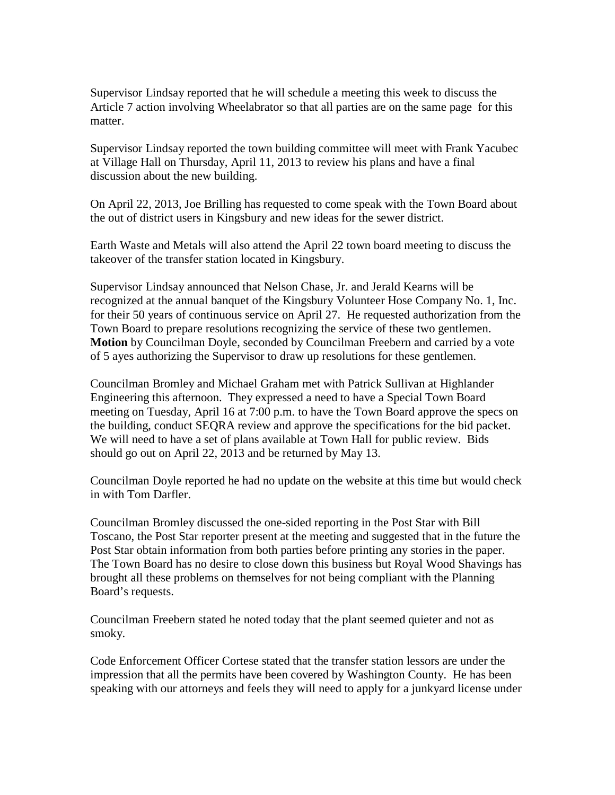Supervisor Lindsay reported that he will schedule a meeting this week to discuss the Article 7 action involving Wheelabrator so that all parties are on the same page for this matter.

Supervisor Lindsay reported the town building committee will meet with Frank Yacubec at Village Hall on Thursday, April 11, 2013 to review his plans and have a final discussion about the new building.

On April 22, 2013, Joe Brilling has requested to come speak with the Town Board about the out of district users in Kingsbury and new ideas for the sewer district.

Earth Waste and Metals will also attend the April 22 town board meeting to discuss the takeover of the transfer station located in Kingsbury.

Supervisor Lindsay announced that Nelson Chase, Jr. and Jerald Kearns will be recognized at the annual banquet of the Kingsbury Volunteer Hose Company No. 1, Inc. for their 50 years of continuous service on April 27. He requested authorization from the Town Board to prepare resolutions recognizing the service of these two gentlemen. **Motion** by Councilman Doyle, seconded by Councilman Freebern and carried by a vote of 5 ayes authorizing the Supervisor to draw up resolutions for these gentlemen.

Councilman Bromley and Michael Graham met with Patrick Sullivan at Highlander Engineering this afternoon. They expressed a need to have a Special Town Board meeting on Tuesday, April 16 at 7:00 p.m. to have the Town Board approve the specs on the building, conduct SEQRA review and approve the specifications for the bid packet. We will need to have a set of plans available at Town Hall for public review. Bids should go out on April 22, 2013 and be returned by May 13.

Councilman Doyle reported he had no update on the website at this time but would check in with Tom Darfler.

Councilman Bromley discussed the one-sided reporting in the Post Star with Bill Toscano, the Post Star reporter present at the meeting and suggested that in the future the Post Star obtain information from both parties before printing any stories in the paper. The Town Board has no desire to close down this business but Royal Wood Shavings has brought all these problems on themselves for not being compliant with the Planning Board's requests.

Councilman Freebern stated he noted today that the plant seemed quieter and not as smoky.

Code Enforcement Officer Cortese stated that the transfer station lessors are under the impression that all the permits have been covered by Washington County. He has been speaking with our attorneys and feels they will need to apply for a junkyard license under